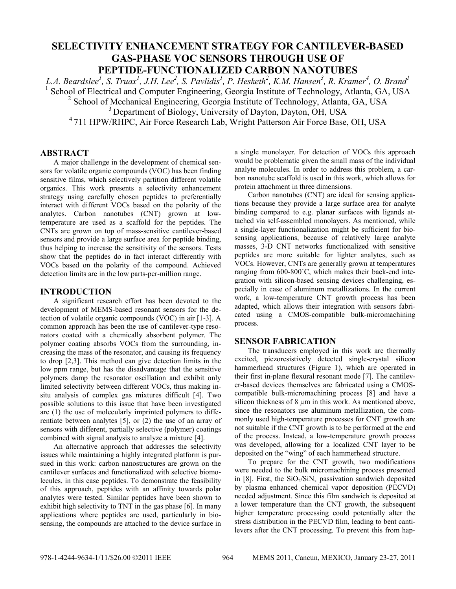# **SELECTIVITY ENHANCEMENT STRATEGY FOR CANTILEVER-BASED GAS-PHASE VOC SENSORS THROUGH USE OF PEPTIDE-FUNCTIONALIZED CARBON NANOTUBES**

*L.A. Beardslee1 , S. Truax1 , J.H. Lee2 , S. Pavlidis1 , P. Hesketh2 , K.M. Hansen3 , R. Kramer<sup>4</sup> , O. Brand1* <sup>1</sup> School of Electrical and Computer Engineering, Georgia Institute of Technology, Atlanta, GA, USA

<sup>2</sup> School of Mechanical Engineering, Georgia Institute of Technology, Atlanta, GA, USA

<sup>3</sup> Department of Biology, University of Dayton, Dayton, OH, USA

4 711 HPW/RHPC, Air Force Research Lab, Wright Patterson Air Force Base, OH, USA

## **ABSTRACT**

A major challenge in the development of chemical sensors for volatile organic compounds (VOC) has been finding sensitive films, which selectively partition different volatile organics. This work presents a selectivity enhancement strategy using carefully chosen peptides to preferentially interact with different VOCs based on the polarity of the analytes. Carbon nanotubes (CNT) grown at lowtemperature are used as a scaffold for the peptides. The CNTs are grown on top of mass-sensitive cantilever-based sensors and provide a large surface area for peptide binding, thus helping to increase the sensitivity of the sensors. Tests show that the peptides do in fact interact differently with VOCs based on the polarity of the compound. Achieved detection limits are in the low parts-per-million range.

## **INTRODUCTION**

A significant research effort has been devoted to the development of MEMS-based resonant sensors for the detection of volatile organic compounds (VOC) in air [1-3]. A common approach has been the use of cantilever-type resonators coated with a chemically absorbent polymer. The polymer coating absorbs VOCs from the surrounding, increasing the mass of the resonator, and causing its frequency to drop [2,3]. This method can give detection limits in the low ppm range, but has the disadvantage that the sensitive polymers damp the resonator oscillation and exhibit only limited selectivity between different VOCs, thus making insitu analysis of complex gas mixtures difficult [4]. Two possible solutions to this issue that have been investigated are (1) the use of molecularly imprinted polymers to differentiate between analytes [5], or (2) the use of an array of sensors with different, partially selective (polymer) coatings combined with signal analysis to analyze a mixture [4].

An alternative approach that addresses the selectivity issues while maintaining a highly integrated platform is pursued in this work: carbon nanostructures are grown on the cantilever surfaces and functionalized with selective biomolecules, in this case peptides. To demonstrate the feasibility of this approach, peptides with an affinity towards polar analytes were tested. Similar peptides have been shown to exhibit high selectivity to TNT in the gas phase [6]. In many applications where peptides are used, particularly in biosensing, the compounds are attached to the device surface in

a single monolayer. For detection of VOCs this approach would be problematic given the small mass of the individual analyte molecules. In order to address this problem, a carbon nanotube scaffold is used in this work, which allows for protein attachment in three dimensions.

Carbon nanotubes (CNT) are ideal for sensing applications because they provide a large surface area for analyte binding compared to e.g. planar surfaces with ligands attached via self-assembled monolayers. As mentioned, while a single-layer functionalization might be sufficient for biosensing applications, because of relatively large analyte masses, 3-D CNT networks functionalized with sensitive peptides are more suitable for lighter analytes, such as VOCs. However, CNTs are generally grown at temperatures ranging from 600-800˙C, which makes their back-end integration with silicon-based sensing devices challenging, especially in case of aluminum metallizations. In the current work, a low-temperature CNT growth process has been adapted, which allows their integration with sensors fabricated using a CMOS-compatible bulk-micromachining process.

#### **SENSOR FABRICATION**

The transducers employed in this work are thermally excited, piezoresistively detected single-crystal silicon hammerhead structures (Figure 1), which are operated in their first in-plane flexural resonant mode [7]. The cantilever-based devices themselves are fabricated using a CMOScompatible bulk-micromachining process [8] and have a silicon thickness of 8  $\mu$ m in this work. As mentioned above, since the resonators use aluminum metallization, the commonly used high-temperature processes for CNT growth are not suitable if the CNT growth is to be performed at the end of the process. Instead, a low-temperature growth process was developed, allowing for a localized CNT layer to be deposited on the "wing" of each hammerhead structure.

To prepare for the CNT growth, two modifications were needed to the bulk micromachining process presented in [8]. First, the  $SiO_2/SiN_x$  passivation sandwich deposited by plasma enhanced chemical vapor deposition (PECVD) needed adjustment. Since this film sandwich is deposited at a lower temperature than the CNT growth, the subsequent higher temperature processing could potentially alter the stress distribution in the PECVD film, leading to bent cantilevers after the CNT processing. To prevent this from hap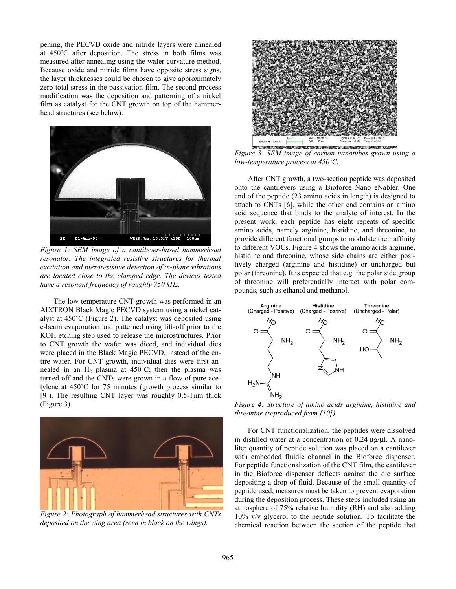pening, the PECVD oxide and nitride layers were annealed at 450˚C after deposition. The stress in both films was measured after annealing using the wafer curvature method. Because oxide and nitride films have opposite stress signs, the layer thicknesses could be chosen to give approximately zero total stress in the passivation film. The second process modification was the deposition and patterning of a nickel film as catalyst for the CNT growth on top of the hammerhead structures (see below).



*Figure 1: SEM image of a cantilever-based hammerhead resonator. The integrated resistive structures for thermal excitation and piezoresistive detection of in-plane vibrations are located close to the clamped edge. The devices tested have a resonant frequency of roughly 750 kHz.* 

The low-temperature CNT growth was performed in an AIXTRON Black Magic PECVD system using a nickel catalyst at 450˚C (Figure 2). The catalyst was deposited using e-beam evaporation and patterned using lift-off prior to the KOH etching step used to release the microstructures. Prior to CNT growth the wafer was diced, and individual dies were placed in the Black Magic PECVD, instead of the entire wafer. For CNT growth, individual dies were first annealed in an  $H_2$  plasma at 450°C; then the plasma was turned off and the CNTs were grown in a flow of pure acetylene at 450˚C for 75 minutes (growth process similar to [9]). The resulting CNT layer was roughly 0.5-1μm thick (Figure 3).



*Figure 2: Photograph of hammerhead structures with CNTs deposited on the wing area (seen in black on the wings).* 



*Figure 3: SEM image of carbon nanotubes grown using a low-temperature process at 450˚C.* 

After CNT growth, a two-section peptide was deposited onto the cantilevers using a Bioforce Nano eNabler. One end of the peptide (23 amino acids in length) is designed to attach to CNTs [6], while the other end contains an amino acid sequence that binds to the analyte of interest. In the present work, each peptide has eight repeats of specific amino acids, namely arginine, histidine, and threonine, to provide different functional groups to modulate their affinity to different VOCs. Figure 4 shows the amino acids arginine, histidine and threonine, whose side chains are either positively charged (arginine and histidine) or uncharged but polar (threonine). It is expected that e.g. the polar side group of threonine will preferentially interact with polar compounds, such as ethanol and methanol.



*Figure 4: Structure of amino acids arginine, histidine and threonine (reproduced from [10]).* 

For CNT functionalization, the peptides were dissolved in distilled water at a concentration of 0.24 μg/μl. A nanoliter quantity of peptide solution was placed on a cantilever with embedded fluidic channel in the Bioforce dispenser. For peptide functionalization of the CNT film, the cantilever in the Bioforce dispenser deflects against the die surface depositing a drop of fluid. Because of the small quantity of peptide used, measures must be taken to prevent evaporation during the deposition process. These steps included using an atmosphere of 75% relative humidity (RH) and also adding 10% v/v glycerol to the peptide solution. To facilitate the chemical reaction between the section of the peptide that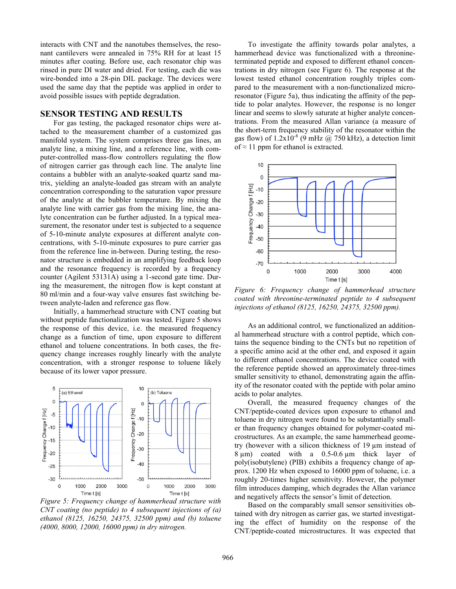interacts with CNT and the nanotubes themselves, the resonant cantilevers were annealed in 75% RH for at least 15 minutes after coating. Before use, each resonator chip was rinsed in pure DI water and dried. For testing, each die was wire-bonded into a 28-pin DIL package. The devices were used the same day that the peptide was applied in order to avoid possible issues with peptide degradation.

#### **SENSOR TESTING AND RESULTS**

For gas testing, the packaged resonator chips were attached to the measurement chamber of a customized gas manifold system. The system comprises three gas lines, an analyte line, a mixing line, and a reference line, with computer-controlled mass-flow controllers regulating the flow of nitrogen carrier gas through each line. The analyte line contains a bubbler with an analyte-soaked quartz sand matrix, yielding an analyte-loaded gas stream with an analyte concentration corresponding to the saturation vapor pressure of the analyte at the bubbler temperature. By mixing the analyte line with carrier gas from the mixing line, the analyte concentration can be further adjusted. In a typical measurement, the resonator under test is subjected to a sequence of 5-10-minute analyte exposures at different analyte concentrations, with 5-10-minute exposures to pure carrier gas from the reference line in-between. During testing, the resonator structure is embedded in an amplifying feedback loop and the resonance frequency is recorded by a frequency counter (Agilent 53131A) using a 1-second gate time. During the measurement, the nitrogen flow is kept constant at 80 ml/min and a four-way valve ensures fast switching between analyte-laden and reference gas flow.

Initially, a hammerhead structure with CNT coating but without peptide functionalization was tested. Figure 5 shows the response of this device, i.e. the measured frequency change as a function of time, upon exposure to different ethanol and toluene concentrations. In both cases, the frequency change increases roughly linearly with the analyte concentration, with a stronger response to toluene likely because of its lower vapor pressure.



*Figure 5: Frequency change of hammerhead structure with CNT coating (no peptide) to 4 subsequent injections of (a) ethanol (8125, 16250, 24375, 32500 ppm) and (b) toluene (4000, 8000, 12000, 16000 ppm) in dry nitrogen.* 

To investigate the affinity towards polar analytes, a hammerhead device was functionalized with a threonineterminated peptide and exposed to different ethanol concentrations in dry nitrogen (see Figure 6). The response at the lowest tested ethanol concentration roughly triples compared to the measurement with a non-functionalized microresonator (Figure 5a), thus indicating the affinity of the peptide to polar analytes. However, the response is no longer linear and seems to slowly saturate at higher analyte concentrations. From the measured Allan variance (a measure of the short-term frequency stability of the resonator within the gas flow) of  $1.2x10^{-8}$  (9 mHz @ 750 kHz), a detection limit of  $\approx$  11 ppm for ethanol is extracted.



*Figure 6: Frequency change of hammerhead structure coated with threonine-terminated peptide to 4 subsequent injections of ethanol (8125, 16250, 24375, 32500 ppm).*

As an additional control, we functionalized an additional hammerhead structure with a control peptide, which contains the sequence binding to the CNTs but no repetition of a specific amino acid at the other end, and exposed it again to different ethanol concentrations. The device coated with the reference peptide showed an approximately three-times smaller sensitivity to ethanol, demonstrating again the affinity of the resonator coated with the peptide with polar amino acids to polar analytes.

Overall, the measured frequency changes of the CNT/peptide-coated devices upon exposure to ethanol and toluene in dry nitrogen were found to be substantially smaller than frequency changes obtained for polymer-coated microstructures. As an example, the same hammerhead geometry (however with a silicon thickness of 19 µm instead of 8 µm) coated with a 0.5-0.6 µm thick layer of poly(isobutylene) (PIB) exhibits a frequency change of approx. 1200 Hz when exposed to 16000 ppm of toluene, i.e. a roughly 20-times higher sensitivity. However, the polymer film introduces damping, which degrades the Allan variance and negatively affects the sensor's limit of detection.

Based on the comparably small sensor sensitivities obtained with dry nitrogen as carrier gas, we started investigating the effect of humidity on the response of the CNT/peptide-coated microstructures. It was expected that